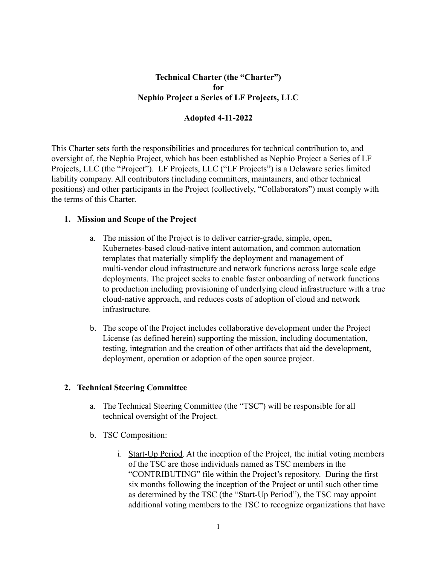# **Technical Charter (the "Charter") for Nephio Project a Series of LF Projects, LLC**

#### **Adopted 4-11-2022**

This Charter sets forth the responsibilities and procedures for technical contribution to, and oversight of, the Nephio Project, which has been established as Nephio Project a Series of LF Projects, LLC (the "Project"). LF Projects, LLC ("LF Projects") is a Delaware series limited liability company. All contributors (including committers, maintainers, and other technical positions) and other participants in the Project (collectively, "Collaborators") must comply with the terms of this Charter.

#### **1. Mission and Scope of the Project**

- a. The mission of the Project is to deliver carrier-grade, simple, open, Kubernetes-based cloud-native intent automation, and common automation templates that materially simplify the deployment and management of multi-vendor cloud infrastructure and network functions across large scale edge deployments. The project seeks to enable faster onboarding of network functions to production including provisioning of underlying cloud infrastructure with a true cloud-native approach, and reduces costs of adoption of cloud and network infrastructure.
- b. The scope of the Project includes collaborative development under the Project License (as defined herein) supporting the mission, including documentation, testing, integration and the creation of other artifacts that aid the development, deployment, operation or adoption of the open source project.

### **2. Technical Steering Committee**

- a. The Technical Steering Committee (the "TSC") will be responsible for all technical oversight of the Project.
- b. TSC Composition:
	- i. Start-Up Period. At the inception of the Project, the initial voting members of the TSC are those individuals named as TSC members in the "CONTRIBUTING" file within the Project's repository. During the first six months following the inception of the Project or until such other time as determined by the TSC (the "Start-Up Period"), the TSC may appoint additional voting members to the TSC to recognize organizations that have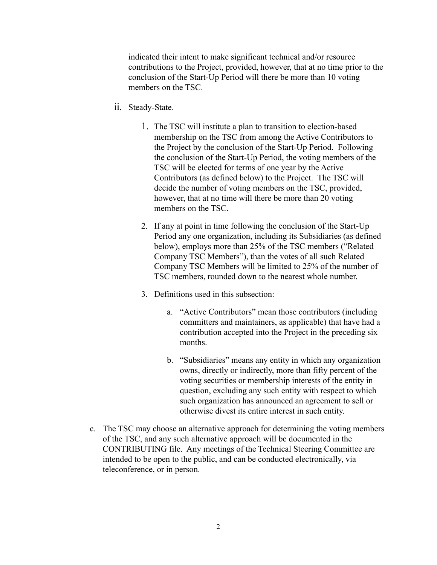indicated their intent to make significant technical and/or resource contributions to the Project, provided, however, that at no time prior to the conclusion of the Start-Up Period will there be more than 10 voting members on the TSC.

- ii. Steady-State.
	- 1. The TSC will institute a plan to transition to election-based membership on the TSC from among the Active Contributors to the Project by the conclusion of the Start-Up Period. Following the conclusion of the Start-Up Period, the voting members of the TSC will be elected for terms of one year by the Active Contributors (as defined below) to the Project. The TSC will decide the number of voting members on the TSC, provided, however, that at no time will there be more than 20 voting members on the TSC.
	- 2. If any at point in time following the conclusion of the Start-Up Period any one organization, including its Subsidiaries (as defined below), employs more than 25% of the TSC members ("Related Company TSC Members"), than the votes of all such Related Company TSC Members will be limited to 25% of the number of TSC members, rounded down to the nearest whole number.
	- 3. Definitions used in this subsection:
		- a. "Active Contributors" mean those contributors (including committers and maintainers, as applicable) that have had a contribution accepted into the Project in the preceding six months.
		- b. "Subsidiaries" means any entity in which any organization owns, directly or indirectly, more than fifty percent of the voting securities or membership interests of the entity in question, excluding any such entity with respect to which such organization has announced an agreement to sell or otherwise divest its entire interest in such entity.
- c. The TSC may choose an alternative approach for determining the voting members of the TSC, and any such alternative approach will be documented in the CONTRIBUTING file. Any meetings of the Technical Steering Committee are intended to be open to the public, and can be conducted electronically, via teleconference, or in person.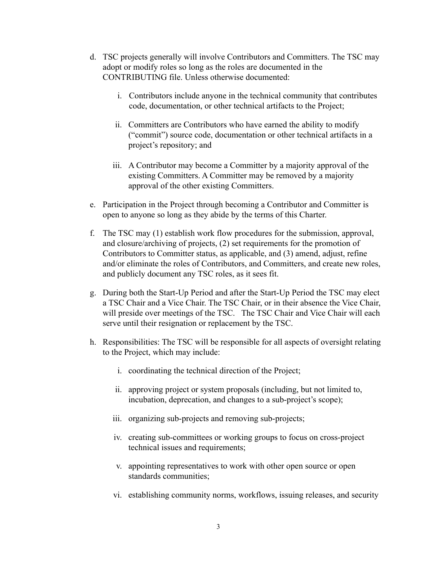- d. TSC projects generally will involve Contributors and Committers. The TSC may adopt or modify roles so long as the roles are documented in the CONTRIBUTING file. Unless otherwise documented:
	- i. Contributors include anyone in the technical community that contributes code, documentation, or other technical artifacts to the Project;
	- ii. Committers are Contributors who have earned the ability to modify ("commit") source code, documentation or other technical artifacts in a project's repository; and
	- iii. A Contributor may become a Committer by a majority approval of the existing Committers. A Committer may be removed by a majority approval of the other existing Committers.
- e. Participation in the Project through becoming a Contributor and Committer is open to anyone so long as they abide by the terms of this Charter.
- f. The TSC may (1) establish work flow procedures for the submission, approval, and closure/archiving of projects, (2) set requirements for the promotion of Contributors to Committer status, as applicable, and (3) amend, adjust, refine and/or eliminate the roles of Contributors, and Committers, and create new roles, and publicly document any TSC roles, as it sees fit.
- g. During both the Start-Up Period and after the Start-Up Period the TSC may elect a TSC Chair and a Vice Chair. The TSC Chair, or in their absence the Vice Chair, will preside over meetings of the TSC. The TSC Chair and Vice Chair will each serve until their resignation or replacement by the TSC.
- h. Responsibilities: The TSC will be responsible for all aspects of oversight relating to the Project, which may include:
	- i. coordinating the technical direction of the Project;
	- ii. approving project or system proposals (including, but not limited to, incubation, deprecation, and changes to a sub-project's scope);
	- iii. organizing sub-projects and removing sub-projects;
	- iv. creating sub-committees or working groups to focus on cross-project technical issues and requirements;
	- v. appointing representatives to work with other open source or open standards communities;
	- vi. establishing community norms, workflows, issuing releases, and security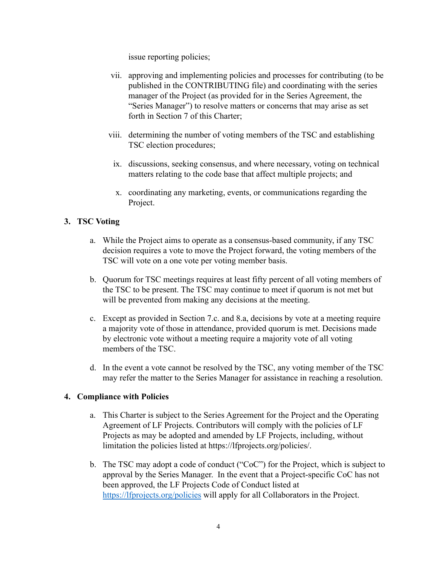issue reporting policies;

- vii. approving and implementing policies and processes for contributing (to be published in the CONTRIBUTING file) and coordinating with the series manager of the Project (as provided for in the Series Agreement, the "Series Manager") to resolve matters or concerns that may arise as set forth in Section 7 of this Charter;
- viii. determining the number of voting members of the TSC and establishing TSC election procedures;
	- ix. discussions, seeking consensus, and where necessary, voting on technical matters relating to the code base that affect multiple projects; and
	- x. coordinating any marketing, events, or communications regarding the Project.

### **3. TSC Voting**

- a. While the Project aims to operate as a consensus-based community, if any TSC decision requires a vote to move the Project forward, the voting members of the TSC will vote on a one vote per voting member basis.
- b. Quorum for TSC meetings requires at least fifty percent of all voting members of the TSC to be present. The TSC may continue to meet if quorum is not met but will be prevented from making any decisions at the meeting.
- c. Except as provided in Section 7.c. and 8.a, decisions by vote at a meeting require a majority vote of those in attendance, provided quorum is met. Decisions made by electronic vote without a meeting require a majority vote of all voting members of the TSC.
- d. In the event a vote cannot be resolved by the TSC, any voting member of the TSC may refer the matter to the Series Manager for assistance in reaching a resolution.

### **4. Compliance with Policies**

- a. This Charter is subject to the Series Agreement for the Project and the Operating Agreement of LF Projects. Contributors will comply with the policies of LF Projects as may be adopted and amended by LF Projects, including, without limitation the policies listed at https://lfprojects.org/policies/.
- b. The TSC may adopt a code of conduct ("CoC") for the Project, which is subject to approval by the Series Manager. In the event that a Project-specific CoC has not been approved, the LF Projects Code of Conduct listed at <https://lfprojects.org/policies> will apply for all Collaborators in the Project.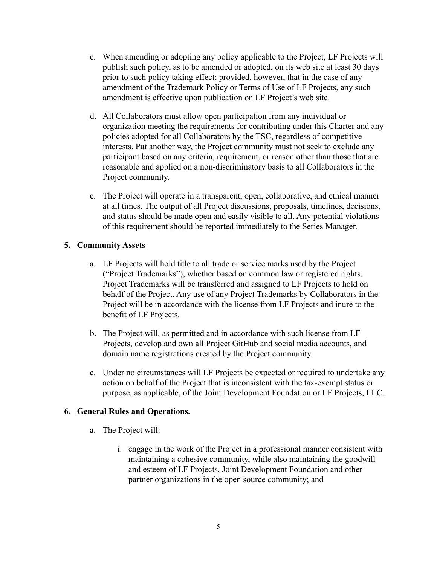- c. When amending or adopting any policy applicable to the Project, LF Projects will publish such policy, as to be amended or adopted, on its web site at least 30 days prior to such policy taking effect; provided, however, that in the case of any amendment of the Trademark Policy or Terms of Use of LF Projects, any such amendment is effective upon publication on LF Project's web site.
- d. All Collaborators must allow open participation from any individual or organization meeting the requirements for contributing under this Charter and any policies adopted for all Collaborators by the TSC, regardless of competitive interests. Put another way, the Project community must not seek to exclude any participant based on any criteria, requirement, or reason other than those that are reasonable and applied on a non-discriminatory basis to all Collaborators in the Project community.
- e. The Project will operate in a transparent, open, collaborative, and ethical manner at all times. The output of all Project discussions, proposals, timelines, decisions, and status should be made open and easily visible to all. Any potential violations of this requirement should be reported immediately to the Series Manager.

# **5. Community Assets**

- a. LF Projects will hold title to all trade or service marks used by the Project ("Project Trademarks"), whether based on common law or registered rights. Project Trademarks will be transferred and assigned to LF Projects to hold on behalf of the Project. Any use of any Project Trademarks by Collaborators in the Project will be in accordance with the license from LF Projects and inure to the benefit of LF Projects.
- b. The Project will, as permitted and in accordance with such license from LF Projects, develop and own all Project GitHub and social media accounts, and domain name registrations created by the Project community.
- c. Under no circumstances will LF Projects be expected or required to undertake any action on behalf of the Project that is inconsistent with the tax-exempt status or purpose, as applicable, of the Joint Development Foundation or LF Projects, LLC.

### **6. General Rules and Operations.**

- a. The Project will:
	- i. engage in the work of the Project in a professional manner consistent with maintaining a cohesive community, while also maintaining the goodwill and esteem of LF Projects, Joint Development Foundation and other partner organizations in the open source community; and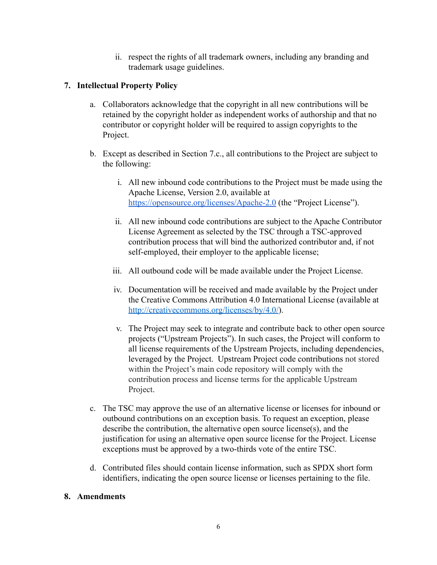ii. respect the rights of all trademark owners, including any branding and trademark usage guidelines.

# **7. Intellectual Property Policy**

- a. Collaborators acknowledge that the copyright in all new contributions will be retained by the copyright holder as independent works of authorship and that no contributor or copyright holder will be required to assign copyrights to the Project.
- b. Except as described in Section 7.c., all contributions to the Project are subject to the following:
	- i. All new inbound code contributions to the Project must be made using the Apache License, Version 2.0, available at <https://opensource.org/licenses/Apache-2.0> (the "Project License").
	- ii. All new inbound code contributions are subject to the Apache Contributor License Agreement as selected by the TSC through a TSC-approved contribution process that will bind the authorized contributor and, if not self-employed, their employer to the applicable license;
	- iii. All outbound code will be made available under the Project License.
	- iv. Documentation will be received and made available by the Project under the Creative Commons Attribution 4.0 International License (available at <http://creativecommons.org/licenses/by/4.0/>).
	- v. The Project may seek to integrate and contribute back to other open source projects ("Upstream Projects"). In such cases, the Project will conform to all license requirements of the Upstream Projects, including dependencies, leveraged by the Project. Upstream Project code contributions not stored within the Project's main code repository will comply with the contribution process and license terms for the applicable Upstream Project.
- c. The TSC may approve the use of an alternative license or licenses for inbound or outbound contributions on an exception basis. To request an exception, please describe the contribution, the alternative open source license(s), and the justification for using an alternative open source license for the Project. License exceptions must be approved by a two-thirds vote of the entire TSC.
- d. Contributed files should contain license information, such as SPDX short form identifiers, indicating the open source license or licenses pertaining to the file.

### **8. Amendments**